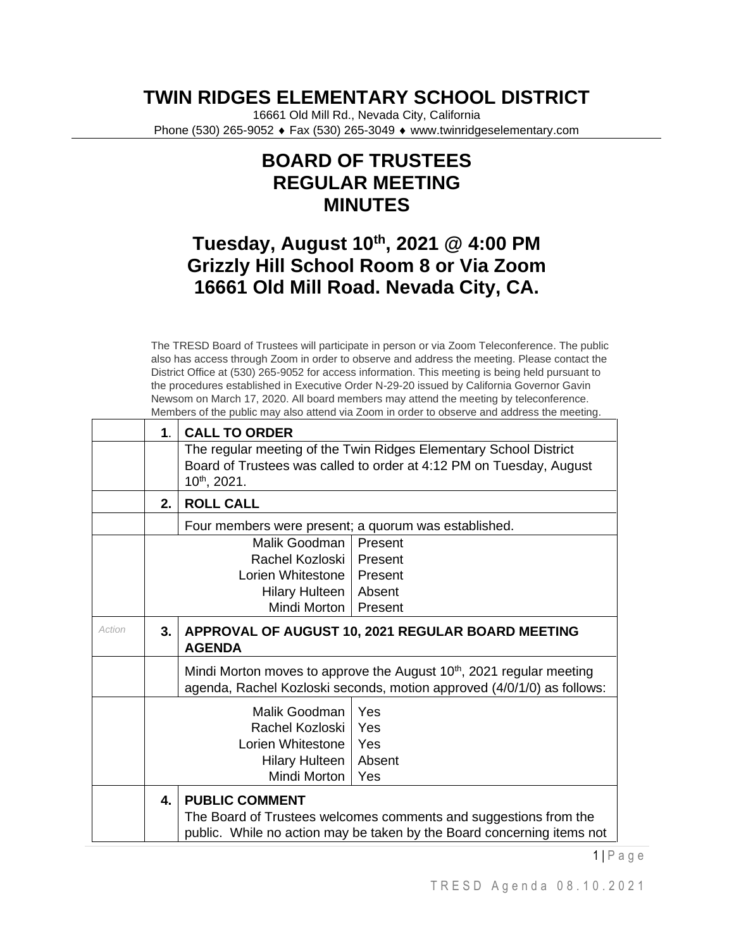## **TWIN RIDGES ELEMENTARY SCHOOL DISTRICT**

16661 Old Mill Rd., Nevada City, California Phone (530) 265-9052 ♦ Fax (530) 265-3049 ♦ www.twinridgeselementary.com

## **BOARD OF TRUSTEES REGULAR MEETING MINUTES**

## **Tuesday, August 10th, 2021 @ 4:00 PM Grizzly Hill School Room 8 or Via Zoom 16661 Old Mill Road. Nevada City, CA.**

The TRESD Board of Trustees will participate in person or via Zoom Teleconference. The public also has access through Zoom in order to observe and address the meeting. Please contact the District Office at (530) 265-9052 for access information. This meeting is being held pursuant to the procedures established in Executive Order N-29-20 issued by California Governor Gavin Newsom on March 17, 2020. All board members may attend the meeting by teleconference. Members of the public may also attend via Zoom in order to observe and address the meeting.

|        | 1.                       | <b>CALL TO ORDER</b>                                                                                                                                                |                                                                                                                                                            |  |  |
|--------|--------------------------|---------------------------------------------------------------------------------------------------------------------------------------------------------------------|------------------------------------------------------------------------------------------------------------------------------------------------------------|--|--|
|        |                          | The regular meeting of the Twin Ridges Elementary School District<br>Board of Trustees was called to order at 4:12 PM on Tuesday, August<br>10th, 2021.             |                                                                                                                                                            |  |  |
|        | 2.                       | <b>ROLL CALL</b>                                                                                                                                                    |                                                                                                                                                            |  |  |
|        |                          | Four members were present; a quorum was established.                                                                                                                |                                                                                                                                                            |  |  |
|        |                          | Malik Goodman                                                                                                                                                       | Present                                                                                                                                                    |  |  |
|        |                          | Rachel Kozloski I                                                                                                                                                   | Present                                                                                                                                                    |  |  |
|        |                          | Lorien Whitestone                                                                                                                                                   | Present                                                                                                                                                    |  |  |
|        | Hilary Hulteen<br>Absent |                                                                                                                                                                     |                                                                                                                                                            |  |  |
|        |                          | Mindi Morton  <br>Present                                                                                                                                           |                                                                                                                                                            |  |  |
| Action | 3.                       | APPROVAL OF AUGUST 10, 2021 REGULAR BOARD MEETING<br><b>AGENDA</b>                                                                                                  |                                                                                                                                                            |  |  |
|        |                          |                                                                                                                                                                     | Mindi Morton moves to approve the August 10 <sup>th</sup> , 2021 regular meeting<br>agenda, Rachel Kozloski seconds, motion approved (4/0/1/0) as follows: |  |  |
|        |                          | Malik Goodman                                                                                                                                                       | Yes                                                                                                                                                        |  |  |
|        |                          | Rachel Kozloski   Yes                                                                                                                                               |                                                                                                                                                            |  |  |
|        |                          | Lorien Whitestone   Yes                                                                                                                                             |                                                                                                                                                            |  |  |
|        |                          | Hilary Hulteen   Absent                                                                                                                                             |                                                                                                                                                            |  |  |
|        | Mindi Morton<br>l Yes    |                                                                                                                                                                     |                                                                                                                                                            |  |  |
|        | 4.                       | <b>PUBLIC COMMENT</b><br>The Board of Trustees welcomes comments and suggestions from the<br>public. While no action may be taken by the Board concerning items not |                                                                                                                                                            |  |  |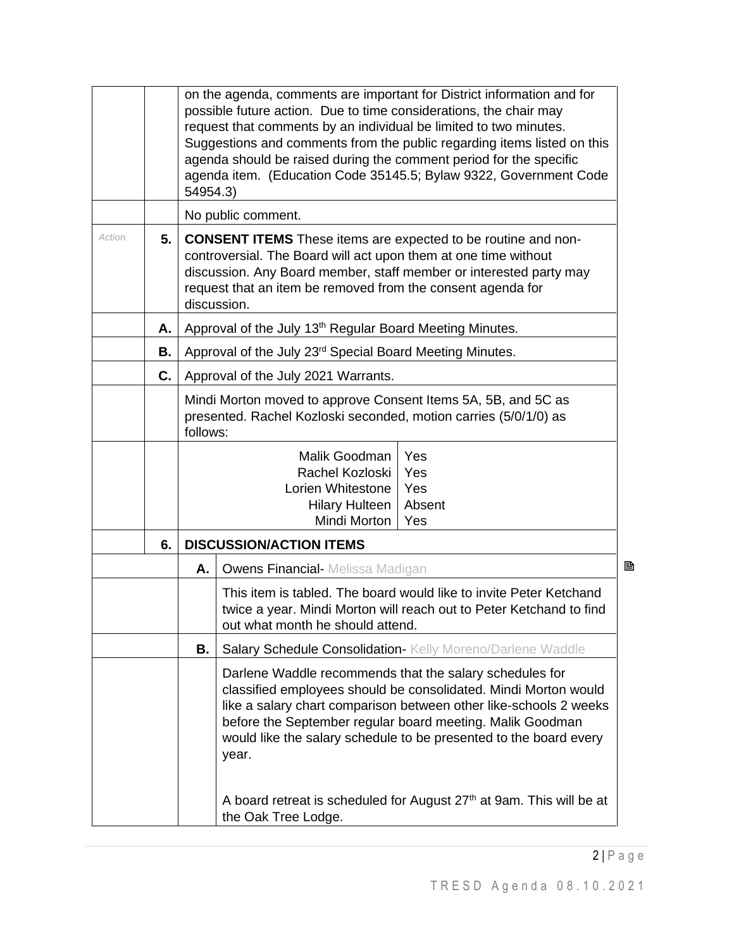|        |    | on the agenda, comments are important for District information and for<br>possible future action. Due to time considerations, the chair may<br>request that comments by an individual be limited to two minutes.<br>Suggestions and comments from the public regarding items listed on this<br>agenda should be raised during the comment period for the specific<br>agenda item. (Education Code 35145.5; Bylaw 9322, Government Code<br>54954.3) |                                                                                                                                                                                                                                                                                                                                                                                                                    |  |  |
|--------|----|----------------------------------------------------------------------------------------------------------------------------------------------------------------------------------------------------------------------------------------------------------------------------------------------------------------------------------------------------------------------------------------------------------------------------------------------------|--------------------------------------------------------------------------------------------------------------------------------------------------------------------------------------------------------------------------------------------------------------------------------------------------------------------------------------------------------------------------------------------------------------------|--|--|
|        |    |                                                                                                                                                                                                                                                                                                                                                                                                                                                    | No public comment.                                                                                                                                                                                                                                                                                                                                                                                                 |  |  |
| Action | 5. |                                                                                                                                                                                                                                                                                                                                                                                                                                                    | <b>CONSENT ITEMS</b> These items are expected to be routine and non-<br>controversial. The Board will act upon them at one time without<br>discussion. Any Board member, staff member or interested party may<br>request that an item be removed from the consent agenda for<br>discussion.                                                                                                                        |  |  |
|        | Α. |                                                                                                                                                                                                                                                                                                                                                                                                                                                    | Approval of the July 13 <sup>th</sup> Regular Board Meeting Minutes.                                                                                                                                                                                                                                                                                                                                               |  |  |
|        | В. |                                                                                                                                                                                                                                                                                                                                                                                                                                                    | Approval of the July 23 <sup>rd</sup> Special Board Meeting Minutes.                                                                                                                                                                                                                                                                                                                                               |  |  |
|        | C. |                                                                                                                                                                                                                                                                                                                                                                                                                                                    | Approval of the July 2021 Warrants.                                                                                                                                                                                                                                                                                                                                                                                |  |  |
|        |    |                                                                                                                                                                                                                                                                                                                                                                                                                                                    | Mindi Morton moved to approve Consent Items 5A, 5B, and 5C as<br>presented. Rachel Kozloski seconded, motion carries (5/0/1/0) as<br>follows:                                                                                                                                                                                                                                                                      |  |  |
|        |    |                                                                                                                                                                                                                                                                                                                                                                                                                                                    | Malik Goodman<br>Yes<br>Rachel Kozloski<br>Yes<br>Lorien Whitestone<br>Yes<br>Absent<br><b>Hilary Hulteen</b><br>Mindi Morton<br>Yes                                                                                                                                                                                                                                                                               |  |  |
|        | 6. | <b>DISCUSSION/ACTION ITEMS</b>                                                                                                                                                                                                                                                                                                                                                                                                                     |                                                                                                                                                                                                                                                                                                                                                                                                                    |  |  |
|        |    | Α.                                                                                                                                                                                                                                                                                                                                                                                                                                                 | 昏<br><b>Owens Financial-</b> Melissa Madigan                                                                                                                                                                                                                                                                                                                                                                       |  |  |
|        |    |                                                                                                                                                                                                                                                                                                                                                                                                                                                    | This item is tabled. The board would like to invite Peter Ketchand<br>twice a year. Mindi Morton will reach out to Peter Ketchand to find<br>out what month he should attend.                                                                                                                                                                                                                                      |  |  |
|        |    | В.                                                                                                                                                                                                                                                                                                                                                                                                                                                 | Salary Schedule Consolidation- Kelly Moreno/Darlene Waddle                                                                                                                                                                                                                                                                                                                                                         |  |  |
|        |    |                                                                                                                                                                                                                                                                                                                                                                                                                                                    | Darlene Waddle recommends that the salary schedules for<br>classified employees should be consolidated. Mindi Morton would<br>like a salary chart comparison between other like-schools 2 weeks<br>before the September regular board meeting. Malik Goodman<br>would like the salary schedule to be presented to the board every<br>year.<br>A board retreat is scheduled for August 27th at 9am. This will be at |  |  |
|        |    |                                                                                                                                                                                                                                                                                                                                                                                                                                                    | the Oak Tree Lodge.                                                                                                                                                                                                                                                                                                                                                                                                |  |  |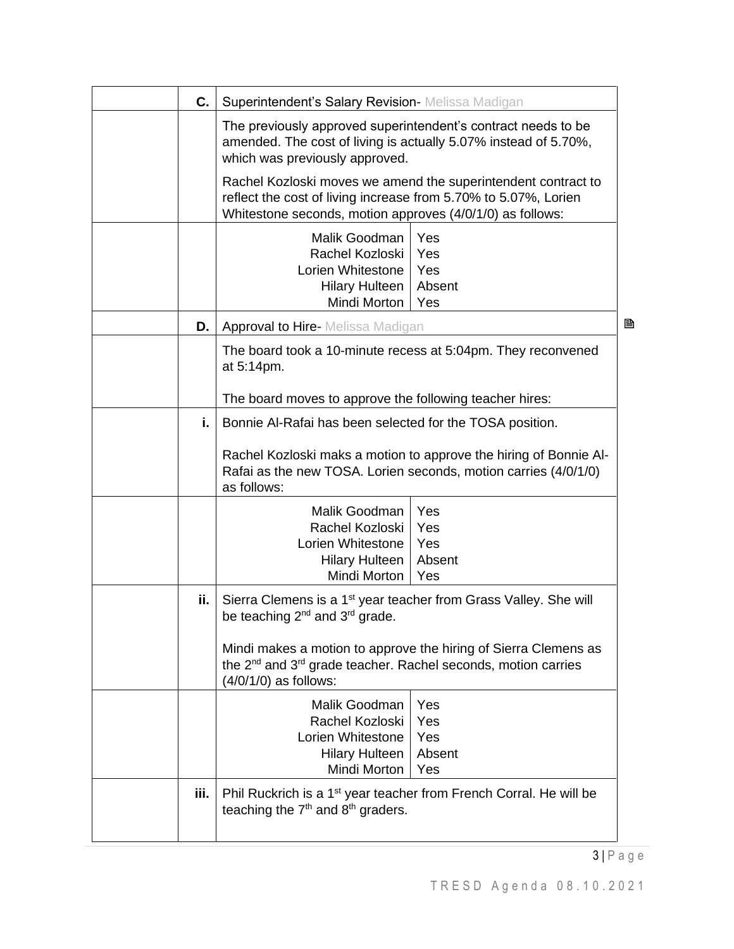| C.   | Superintendent's Salary Revision- Melissa Madigan                                                                                                                  |                                                                                                                                      |
|------|--------------------------------------------------------------------------------------------------------------------------------------------------------------------|--------------------------------------------------------------------------------------------------------------------------------------|
|      | The previously approved superintendent's contract needs to be<br>amended. The cost of living is actually 5.07% instead of 5.70%,<br>which was previously approved. |                                                                                                                                      |
|      | reflect the cost of living increase from 5.70% to 5.07%, Lorien<br>Whitestone seconds, motion approves (4/0/1/0) as follows:                                       | Rachel Kozloski moves we amend the superintendent contract to                                                                        |
|      | Malik Goodman<br>Rachel Kozloski<br>Lorien Whitestone<br>Hilary Hulteen<br>Mindi Morton                                                                            | Yes<br>Yes<br>Yes<br>Absent<br>Yes                                                                                                   |
| D.   | <b>Approval to Hire-</b> Melissa Madigan                                                                                                                           | B                                                                                                                                    |
|      | at 5:14pm.                                                                                                                                                         | The board took a 10-minute recess at 5:04pm. They reconvened                                                                         |
|      | The board moves to approve the following teacher hires:                                                                                                            |                                                                                                                                      |
| i.   | Bonnie Al-Rafai has been selected for the TOSA position.                                                                                                           |                                                                                                                                      |
|      | as follows:                                                                                                                                                        | Rachel Kozloski maks a motion to approve the hiring of Bonnie Al-<br>Rafai as the new TOSA. Lorien seconds, motion carries (4/0/1/0) |
|      | Malik Goodman<br>Rachel Kozloski<br>Lorien Whitestone<br><b>Hilary Hulteen</b><br>Mindi Morton                                                                     | Yes<br>Yes<br>Yes<br>Absent<br>Yes                                                                                                   |
| ii.  | Sierra Clemens is a 1 <sup>st</sup> year teacher from Grass Valley. She will<br>be teaching $2^{nd}$ and $3^{rd}$ grade.                                           |                                                                                                                                      |
|      | the 2 <sup>nd</sup> and 3 <sup>rd</sup> grade teacher. Rachel seconds, motion carries<br>$(4/0/1/0)$ as follows:                                                   | Mindi makes a motion to approve the hiring of Sierra Clemens as                                                                      |
|      | Malik Goodman                                                                                                                                                      | Yes                                                                                                                                  |
|      | Rachel Kozloski I<br>Lorien Whitestone   Yes                                                                                                                       | Yes                                                                                                                                  |
|      | Hilary Hulteen                                                                                                                                                     | Absent                                                                                                                               |
|      | Mindi Morton                                                                                                                                                       | Yes                                                                                                                                  |
| iii. | Phil Ruckrich is a 1 <sup>st</sup> year teacher from French Corral. He will be<br>teaching the 7 <sup>th</sup> and 8 <sup>th</sup> graders.                        |                                                                                                                                      |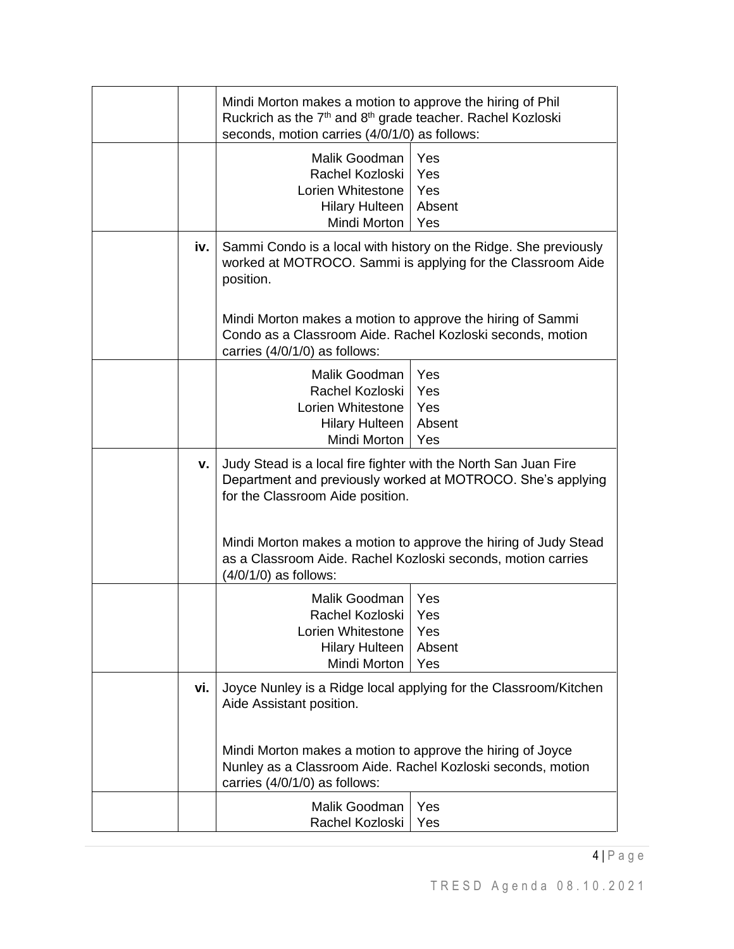|     | Mindi Morton makes a motion to approve the hiring of Phil<br>Ruckrich as the 7 <sup>th</sup> and 8 <sup>th</sup> grade teacher. Rachel Kozloski<br>seconds, motion carries (4/0/1/0) as follows: |                                                                                                                                 |
|-----|--------------------------------------------------------------------------------------------------------------------------------------------------------------------------------------------------|---------------------------------------------------------------------------------------------------------------------------------|
|     | Malik Goodman<br>Rachel Kozloski<br>Lorien Whitestone<br><b>Hilary Hulteen</b><br>Mindi Morton                                                                                                   | Yes<br>Yes<br>Yes<br>Absent<br>Yes                                                                                              |
| iv. | position.                                                                                                                                                                                        | Sammi Condo is a local with history on the Ridge. She previously<br>worked at MOTROCO. Sammi is applying for the Classroom Aide |
|     | Mindi Morton makes a motion to approve the hiring of Sammi<br>Condo as a Classroom Aide. Rachel Kozloski seconds, motion<br>carries (4/0/1/0) as follows:                                        |                                                                                                                                 |
|     | Malik Goodman<br>Rachel Kozloski<br>Lorien Whitestone<br><b>Hilary Hulteen</b><br>Mindi Morton                                                                                                   | Yes<br>Yes<br>Yes<br>Absent<br>Yes                                                                                              |
| v.  | Judy Stead is a local fire fighter with the North San Juan Fire<br>for the Classroom Aide position.                                                                                              | Department and previously worked at MOTROCO. She's applying                                                                     |
|     | as a Classroom Aide. Rachel Kozloski seconds, motion carries<br>(4/0/1/0) as follows:                                                                                                            | Mindi Morton makes a motion to approve the hiring of Judy Stead                                                                 |
|     | Malik Goodman<br>Rachel Kozloski<br>Lorien Whitestone<br><b>Hilary Hulteen</b><br>Mindi Morton                                                                                                   | Yes<br>Yes<br>Yes<br>Absent<br>Yes                                                                                              |
| vi. | Aide Assistant position.                                                                                                                                                                         | Joyce Nunley is a Ridge local applying for the Classroom/Kitchen                                                                |
|     | Mindi Morton makes a motion to approve the hiring of Joyce<br>Nunley as a Classroom Aide. Rachel Kozloski seconds, motion<br>carries (4/0/1/0) as follows:                                       |                                                                                                                                 |
|     | Malik Goodman<br>Rachel Kozloski                                                                                                                                                                 | Yes<br>Yes                                                                                                                      |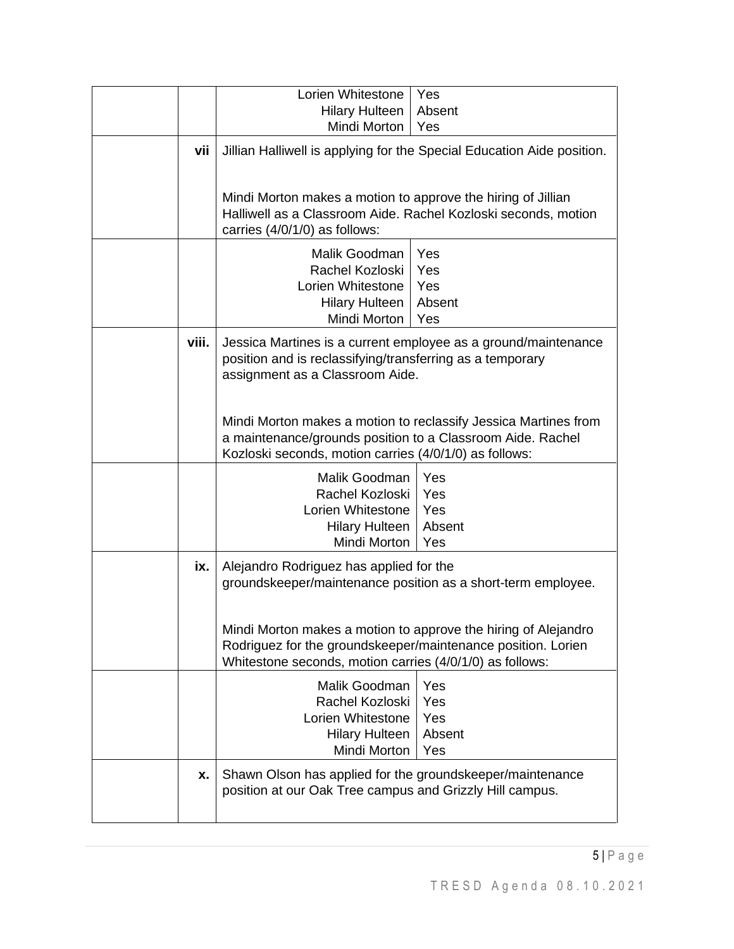|       | Lorien Whitestone                                                                                                                                                                          | Yes                                                                    |
|-------|--------------------------------------------------------------------------------------------------------------------------------------------------------------------------------------------|------------------------------------------------------------------------|
|       | <b>Hilary Hulteen</b>                                                                                                                                                                      | Absent                                                                 |
|       | Mindi Morton                                                                                                                                                                               | Yes                                                                    |
| vii   |                                                                                                                                                                                            | Jillian Halliwell is applying for the Special Education Aide position. |
|       | Mindi Morton makes a motion to approve the hiring of Jillian<br>Halliwell as a Classroom Aide. Rachel Kozloski seconds, motion<br>carries (4/0/1/0) as follows:                            |                                                                        |
|       | Malik Goodman<br>Rachel Kozloski<br>Lorien Whitestone<br><b>Hilary Hulteen</b><br>Mindi Morton                                                                                             | Yes<br>Yes<br>Yes<br>Absent<br>Yes                                     |
| viii. | position and is reclassifying/transferring as a temporary<br>assignment as a Classroom Aide.                                                                                               | Jessica Martines is a current employee as a ground/maintenance         |
|       | Mindi Morton makes a motion to reclassify Jessica Martines from<br>a maintenance/grounds position to a Classroom Aide. Rachel<br>Kozloski seconds, motion carries (4/0/1/0) as follows:    |                                                                        |
|       | Malik Goodman                                                                                                                                                                              | Yes                                                                    |
|       | Rachel Kozloski                                                                                                                                                                            | Yes                                                                    |
|       | Lorien Whitestone                                                                                                                                                                          | Yes                                                                    |
|       | <b>Hilary Hulteen</b>                                                                                                                                                                      | Absent                                                                 |
|       | Mindi Morton                                                                                                                                                                               | Yes                                                                    |
| ix.   | Alejandro Rodriguez has applied for the<br>groundskeeper/maintenance position as a short-term employee.                                                                                    |                                                                        |
|       | Mindi Morton makes a motion to approve the hiring of Alejandro<br>Rodriguez for the groundskeeper/maintenance position. Lorien<br>Whitestone seconds, motion carries (4/0/1/0) as follows: |                                                                        |
|       | Malik Goodman                                                                                                                                                                              | Yes                                                                    |
|       | Rachel Kozloski                                                                                                                                                                            | Yes                                                                    |
|       | Lorien Whitestone                                                                                                                                                                          | Yes                                                                    |
|       | <b>Hilary Hulteen</b>                                                                                                                                                                      | Absent                                                                 |
|       | Mindi Morton                                                                                                                                                                               | Yes                                                                    |
| X.    | Shawn Olson has applied for the groundskeeper/maintenance<br>position at our Oak Tree campus and Grizzly Hill campus.                                                                      |                                                                        |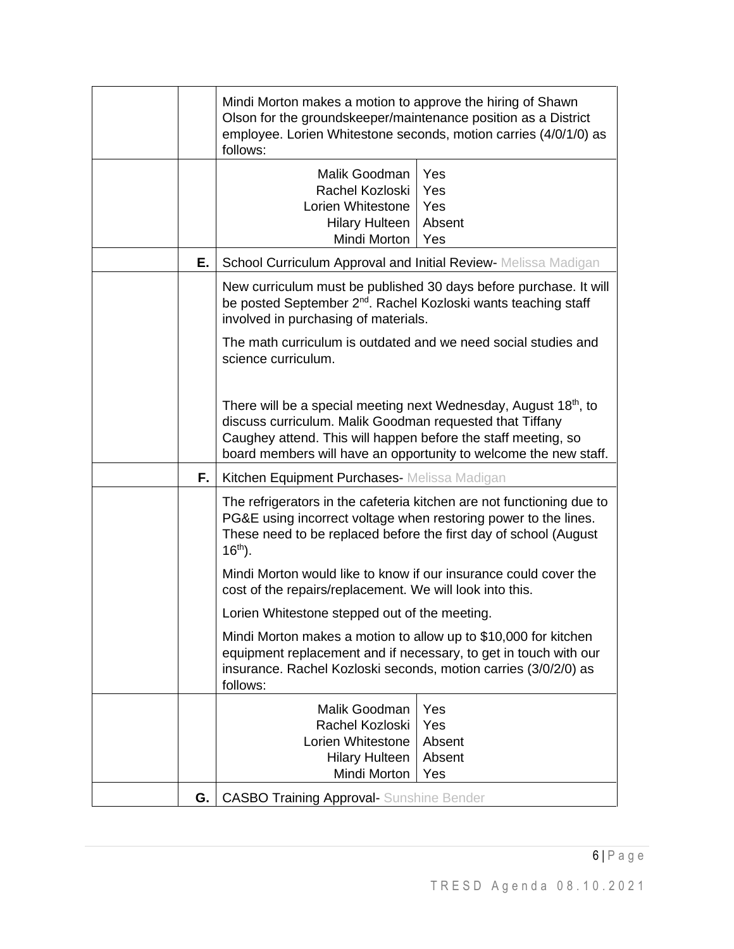|    | Mindi Morton makes a motion to approve the hiring of Shawn<br>Olson for the groundskeeper/maintenance position as a District<br>employee. Lorien Whitestone seconds, motion carries (4/0/1/0) as<br>follows:       |                                                                       |
|----|--------------------------------------------------------------------------------------------------------------------------------------------------------------------------------------------------------------------|-----------------------------------------------------------------------|
|    | Malik Goodman<br>Rachel Kozloski<br>Lorien Whitestone<br><b>Hilary Hulteen</b><br>Mindi Morton                                                                                                                     | Yes<br>Yes<br>Yes<br>Absent<br>Yes                                    |
| Е. | School Curriculum Approval and Initial Review- Melissa Madigan                                                                                                                                                     |                                                                       |
|    | be posted September 2 <sup>nd</sup> . Rachel Kozloski wants teaching staff<br>involved in purchasing of materials.<br>The math curriculum is outdated and we need social studies and                               | New curriculum must be published 30 days before purchase. It will     |
|    | science curriculum.                                                                                                                                                                                                |                                                                       |
|    | There will be a special meeting next Wednesday, August 18 <sup>th</sup> , to<br>discuss curriculum. Malik Goodman requested that Tiffany<br>Caughey attend. This will happen before the staff meeting, so          | board members will have an opportunity to welcome the new staff.      |
| F. | Kitchen Equipment Purchases- Melissa Madigan                                                                                                                                                                       |                                                                       |
|    | PG&E using incorrect voltage when restoring power to the lines.<br>These need to be replaced before the first day of school (August<br>$16th$ ).                                                                   | The refrigerators in the cafeteria kitchen are not functioning due to |
|    | Mindi Morton would like to know if our insurance could cover the<br>cost of the repairs/replacement. We will look into this.                                                                                       |                                                                       |
|    | Lorien Whitestone stepped out of the meeting.                                                                                                                                                                      |                                                                       |
|    | Mindi Morton makes a motion to allow up to \$10,000 for kitchen<br>equipment replacement and if necessary, to get in touch with our<br>insurance. Rachel Kozloski seconds, motion carries (3/0/2/0) as<br>follows: |                                                                       |
|    | Malik Goodman                                                                                                                                                                                                      | Yes                                                                   |
|    | Rachel Kozloski<br>Lorien Whitestone                                                                                                                                                                               | Yes                                                                   |
|    | <b>Hilary Hulteen</b>                                                                                                                                                                                              | Absent<br>Absent                                                      |
|    | Mindi Morton                                                                                                                                                                                                       | Yes                                                                   |
| G. | <b>CASBO Training Approval- Sunshine Bender</b>                                                                                                                                                                    |                                                                       |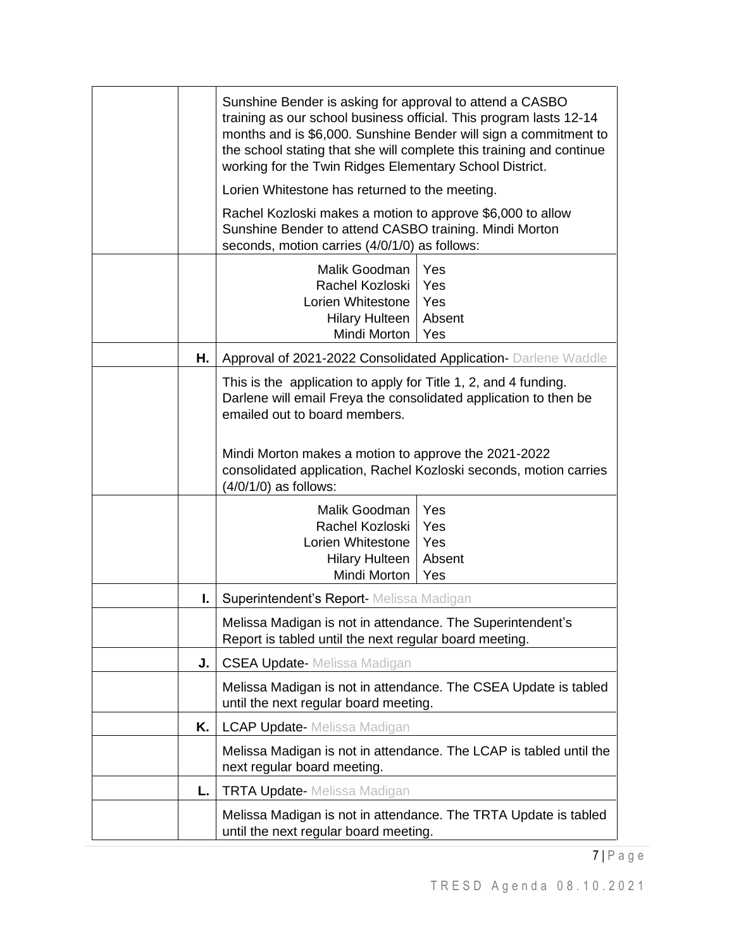|    | Sunshine Bender is asking for approval to attend a CASBO<br>training as our school business official. This program lasts 12-14<br>months and is \$6,000. Sunshine Bender will sign a commitment to<br>the school stating that she will complete this training and continue<br>working for the Twin Ridges Elementary School District. |  |
|----|---------------------------------------------------------------------------------------------------------------------------------------------------------------------------------------------------------------------------------------------------------------------------------------------------------------------------------------|--|
|    | Lorien Whitestone has returned to the meeting.                                                                                                                                                                                                                                                                                        |  |
|    | Rachel Kozloski makes a motion to approve \$6,000 to allow<br>Sunshine Bender to attend CASBO training. Mindi Morton<br>seconds, motion carries (4/0/1/0) as follows:                                                                                                                                                                 |  |
|    | Malik Goodman<br>Yes<br>Yes<br>Rachel Kozloski<br>Yes<br>Lorien Whitestone<br><b>Hilary Hulteen</b><br>Absent<br>Mindi Morton<br>Yes                                                                                                                                                                                                  |  |
| Н. | Approval of 2021-2022 Consolidated Application- Darlene Waddle                                                                                                                                                                                                                                                                        |  |
|    | This is the application to apply for Title 1, 2, and 4 funding.<br>Darlene will email Freya the consolidated application to then be<br>emailed out to board members.<br>Mindi Morton makes a motion to approve the 2021-2022<br>consolidated application, Rachel Kozloski seconds, motion carries                                     |  |
|    | (4/0/1/0) as follows:<br>Malik Goodman<br>Yes<br>Yes<br>Rachel Kozloski<br>Lorien Whitestone<br>Yes<br><b>Hilary Hulteen</b><br>Absent<br>Mindi Morton<br>Yes                                                                                                                                                                         |  |
| I. | Superintendent's Report-Melissa Madigan                                                                                                                                                                                                                                                                                               |  |
|    | Melissa Madigan is not in attendance. The Superintendent's<br>Report is tabled until the next regular board meeting.                                                                                                                                                                                                                  |  |
| J. | <b>CSEA Update-</b> Melissa Madigan                                                                                                                                                                                                                                                                                                   |  |
|    | Melissa Madigan is not in attendance. The CSEA Update is tabled<br>until the next regular board meeting.                                                                                                                                                                                                                              |  |
| K. | <b>LCAP Update-</b> Melissa Madigan                                                                                                                                                                                                                                                                                                   |  |
|    | Melissa Madigan is not in attendance. The LCAP is tabled until the<br>next regular board meeting.                                                                                                                                                                                                                                     |  |
| L. | <b>TRTA Update-</b> Melissa Madigan                                                                                                                                                                                                                                                                                                   |  |
|    | Melissa Madigan is not in attendance. The TRTA Update is tabled<br>until the next regular board meeting.                                                                                                                                                                                                                              |  |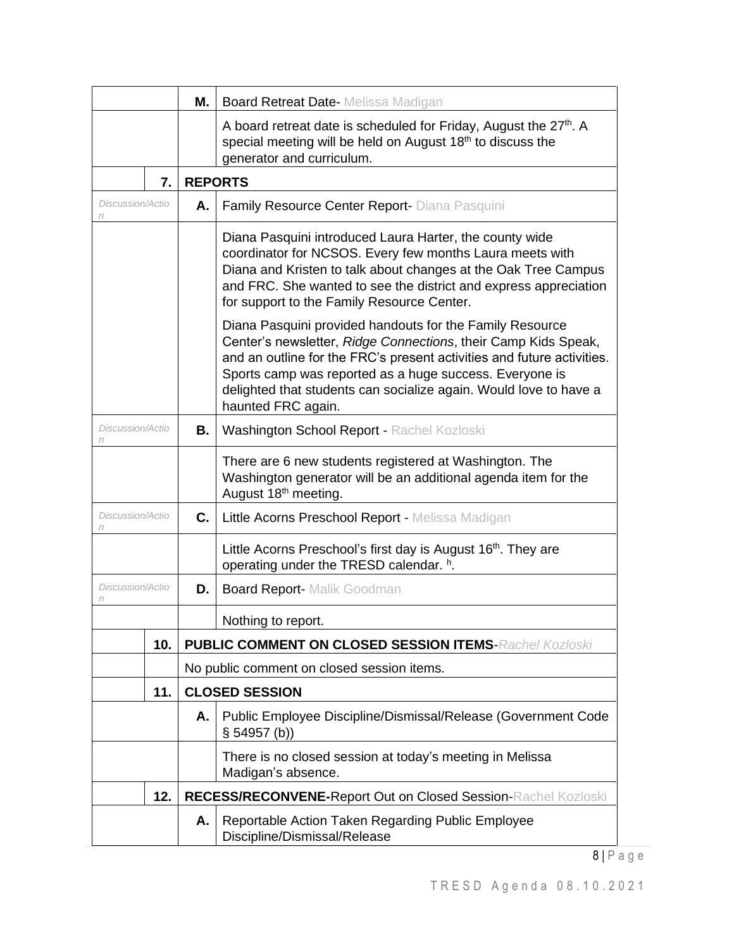|                       |     | Μ. | <b>Board Retreat Date-</b> Melissa Madigan                                                                                                                                                                                                                                                                                                                 |  |
|-----------------------|-----|----|------------------------------------------------------------------------------------------------------------------------------------------------------------------------------------------------------------------------------------------------------------------------------------------------------------------------------------------------------------|--|
|                       |     |    | A board retreat date is scheduled for Friday, August the 27 <sup>th</sup> . A<br>special meeting will be held on August 18 <sup>th</sup> to discuss the<br>generator and curriculum.                                                                                                                                                                       |  |
|                       | 7.  |    | <b>REPORTS</b>                                                                                                                                                                                                                                                                                                                                             |  |
| Discussion/Actio<br>n |     | Α. | Family Resource Center Report- Diana Pasquini                                                                                                                                                                                                                                                                                                              |  |
|                       |     |    | Diana Pasquini introduced Laura Harter, the county wide<br>coordinator for NCSOS. Every few months Laura meets with<br>Diana and Kristen to talk about changes at the Oak Tree Campus<br>and FRC. She wanted to see the district and express appreciation<br>for support to the Family Resource Center.                                                    |  |
|                       |     |    | Diana Pasquini provided handouts for the Family Resource<br>Center's newsletter, Ridge Connections, their Camp Kids Speak,<br>and an outline for the FRC's present activities and future activities.<br>Sports camp was reported as a huge success. Everyone is<br>delighted that students can socialize again. Would love to have a<br>haunted FRC again. |  |
| Discussion/Actio<br>n |     | В. | Washington School Report - Rachel Kozloski                                                                                                                                                                                                                                                                                                                 |  |
|                       |     |    | There are 6 new students registered at Washington. The<br>Washington generator will be an additional agenda item for the<br>August 18th meeting.                                                                                                                                                                                                           |  |
| Discussion/Actio<br>n |     | C. | Little Acorns Preschool Report - Melissa Madigan                                                                                                                                                                                                                                                                                                           |  |
|                       |     |    | Little Acorns Preschool's first day is August 16 <sup>th</sup> . They are<br>operating under the TRESD calendar. h.                                                                                                                                                                                                                                        |  |
| Discussion/Actio<br>n |     | D. | <b>Board Report- Malik Goodman</b>                                                                                                                                                                                                                                                                                                                         |  |
|                       |     |    | Nothing to report.                                                                                                                                                                                                                                                                                                                                         |  |
|                       | 10. |    | <b>PUBLIC COMMENT ON CLOSED SESSION ITEMS-Rachel Kozloski</b>                                                                                                                                                                                                                                                                                              |  |
|                       |     |    | No public comment on closed session items.                                                                                                                                                                                                                                                                                                                 |  |
| 11.                   |     |    | <b>CLOSED SESSION</b>                                                                                                                                                                                                                                                                                                                                      |  |
|                       |     | А. | Public Employee Discipline/Dismissal/Release (Government Code<br>§ 54957(b))                                                                                                                                                                                                                                                                               |  |
|                       |     |    | There is no closed session at today's meeting in Melissa<br>Madigan's absence.                                                                                                                                                                                                                                                                             |  |
|                       | 12. |    | RECESS/RECONVENE-Report Out on Closed Session-Rachel Kozloski                                                                                                                                                                                                                                                                                              |  |
|                       |     | Α. | Reportable Action Taken Regarding Public Employee<br>Discipline/Dismissal/Release                                                                                                                                                                                                                                                                          |  |
|                       |     |    |                                                                                                                                                                                                                                                                                                                                                            |  |